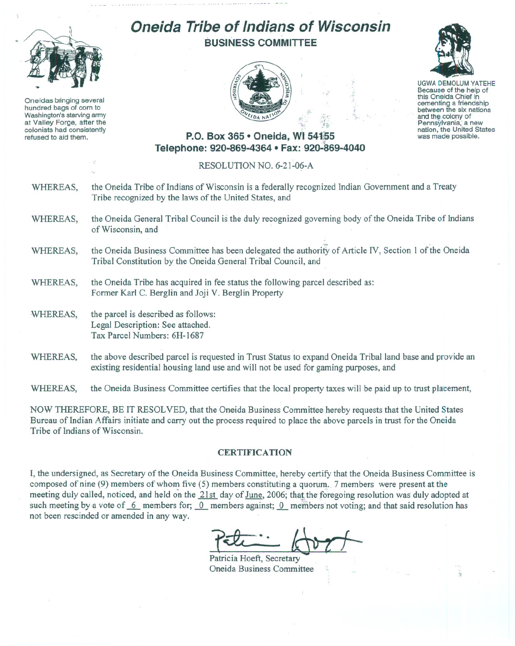

Oneidas bringing several hundred bags of corn to Washington's starving army at Valley Forge, after the colonists had consistently refused to aid them.

## **Oneida Tribe of Indians of Wisconsin BUSINESS COMMITTEE**



 $r_{\rm i}$ 



UGWA DEMOLUM YATEHE Because of the help of this Oneida Chief in<br>cementing a friendship between the six nations and the colony of<br>Pennsylvania, a new nation, the United States was made possible.

## **P.O. Box 365 • Oneida, WI 541;S5 Telephone: 920-869-4364 • Fax: 920-869-4040**

## RESOLUTION NO. 6-21-06-A

- WHEREAS, the Oneida Tribe of Indians of Wisconsin is a federally recognized Indian Government and a Treaty Tribe recognized by the laws of the United States, and
- WHEREAS, the Oneida General Tribal Council is the duly recognized governing body of the Oneida Tribe of Indians of Wisconsin, and
- ~ WHEREAS, the Oneida Business Committee has been delegated the authority of Article IV, Section 1 of the Oneida Tribal Constitution by the Oneida General Tribal Council, and
- WHEREAS, the Oneida Tribe has acquired in fee status the following parcel described as: Former Karl C. Berglin and Joji V. Berglin Property
- WHEREAS, the parcel is described as follows: Legal Description: See attached. Tax Parcel Numbers: 6H-1687
- WHEREAS, the above described parcel is requested in Trust Status to expand Oneida Tribal land base and provide an existing residential housing land use and will not be used for gaming purposes, and

WHEREAS, the Oneida Business Committee certifies that the local property taxes will be paid up to trust placement,

NOW THEREFORE, BE IT RESOLVED, that the Oneida Business Committee hereby requests that the United States Bureau of Indian Affairs initiate and carry out the process required to place the above parcels in trust for the Oneida Tribe of Indians of Wisconsin.

## **CERTIFICATION**

I, the undersigned, as Secretary of the Oneida Business Committee, hereby certify that the Oneida Business Committee is composed of nine (9) members of whom five (5) members constituting a quorum. 7 members were present at the meeting duly called, noticed, and held on the 21st day of June, 2006; that the foregoing resolution was duly adopted at such meeting by a vote of  $\overline{6}$  members for;  $\overline{0}$  members against;  $\overline{0}$  members not voting; and that said resolution has not been rescinded or amended in any way.

Patricia Hoeft, Secretary

Oneida Business Committee